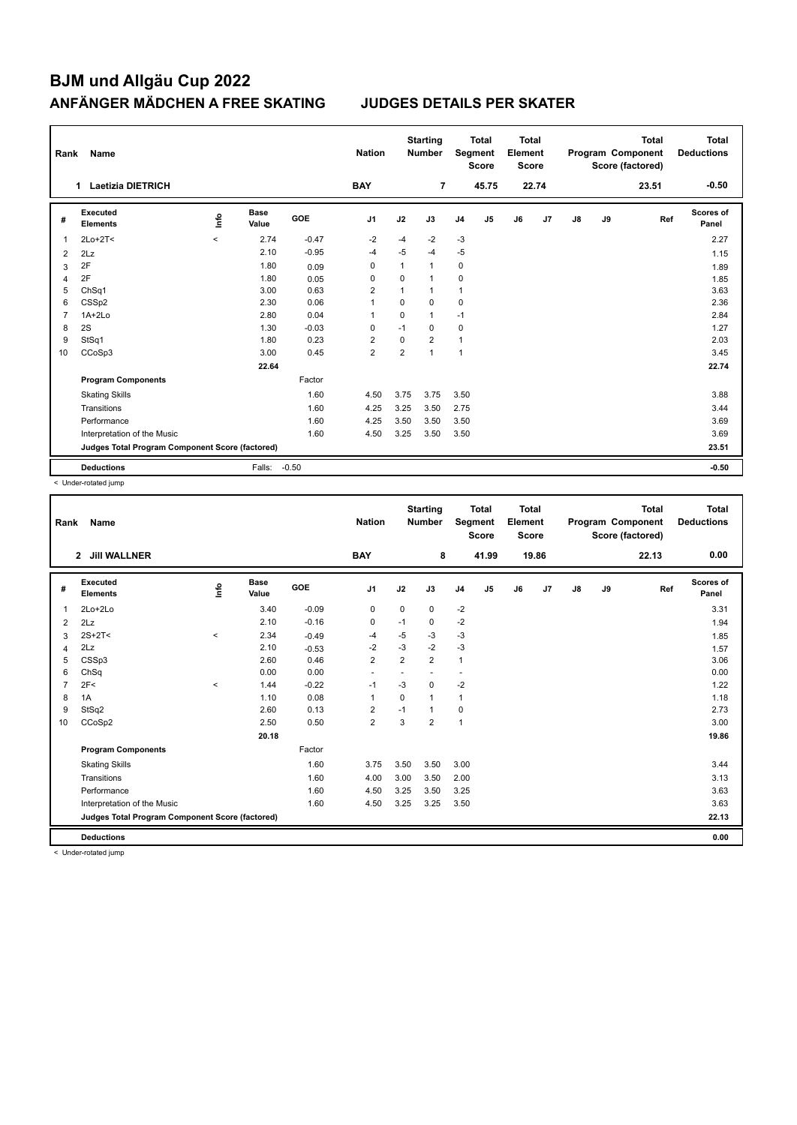| Rank           | Name                                            |       |                      |            | <b>Nation</b>  |                | <b>Starting</b><br><b>Number</b> |                | <b>Total</b><br>Segment<br><b>Score</b> | <b>Total</b><br>Element<br><b>Score</b> |       |               |    | <b>Total</b><br>Program Component<br>Score (factored) | <b>Total</b><br><b>Deductions</b> |
|----------------|-------------------------------------------------|-------|----------------------|------------|----------------|----------------|----------------------------------|----------------|-----------------------------------------|-----------------------------------------|-------|---------------|----|-------------------------------------------------------|-----------------------------------|
|                | <b>Laetizia DIETRICH</b><br>1                   |       |                      |            | <b>BAY</b>     |                | 7                                |                | 45.75                                   |                                         | 22.74 |               |    | 23.51                                                 | $-0.50$                           |
| #              | Executed<br><b>Elements</b>                     | ۴ů    | <b>Base</b><br>Value | <b>GOE</b> | J1             | J2             | J3                               | J <sub>4</sub> | J5                                      | J6                                      | J7    | $\mathsf{J}8$ | J9 | Ref                                                   | <b>Scores of</b><br>Panel         |
| 1              | $2Lo+2T<$                                       | $\,<$ | 2.74                 | $-0.47$    | $-2$           | $-4$           | $-2$                             | $-3$           |                                         |                                         |       |               |    |                                                       | 2.27                              |
| 2              | 2Lz                                             |       | 2.10                 | $-0.95$    | $-4$           | $-5$           | $-4$                             | $-5$           |                                         |                                         |       |               |    |                                                       | 1.15                              |
| 3              | 2F                                              |       | 1.80                 | 0.09       | 0              | 1              | $\mathbf{1}$                     | 0              |                                         |                                         |       |               |    |                                                       | 1.89                              |
| 4              | 2F                                              |       | 1.80                 | 0.05       | 0              | $\Omega$       | $\mathbf{1}$                     | 0              |                                         |                                         |       |               |    |                                                       | 1.85                              |
| 5              | ChSq1                                           |       | 3.00                 | 0.63       | $\overline{2}$ |                | $\mathbf{1}$                     | $\mathbf{1}$   |                                         |                                         |       |               |    |                                                       | 3.63                              |
| 6              | CSS <sub>p2</sub>                               |       | 2.30                 | 0.06       | 1              | $\mathbf 0$    | $\mathbf 0$                      | 0              |                                         |                                         |       |               |    |                                                       | 2.36                              |
| $\overline{7}$ | $1A+2Lo$                                        |       | 2.80                 | 0.04       | $\overline{1}$ | $\Omega$       | $\mathbf{1}$                     | $-1$           |                                         |                                         |       |               |    |                                                       | 2.84                              |
| 8              | 2S                                              |       | 1.30                 | $-0.03$    | 0              | $-1$           | 0                                | 0              |                                         |                                         |       |               |    |                                                       | 1.27                              |
| 9              | StSq1                                           |       | 1.80                 | 0.23       | 2              | 0              | $\overline{2}$                   | $\mathbf{1}$   |                                         |                                         |       |               |    |                                                       | 2.03                              |
| 10             | CCoSp3                                          |       | 3.00                 | 0.45       | $\overline{2}$ | $\overline{2}$ | $\mathbf{1}$                     | $\mathbf{1}$   |                                         |                                         |       |               |    |                                                       | 3.45                              |
|                |                                                 |       | 22.64                |            |                |                |                                  |                |                                         |                                         |       |               |    |                                                       | 22.74                             |
|                | <b>Program Components</b>                       |       |                      | Factor     |                |                |                                  |                |                                         |                                         |       |               |    |                                                       |                                   |
|                | <b>Skating Skills</b>                           |       |                      | 1.60       | 4.50           | 3.75           | 3.75                             | 3.50           |                                         |                                         |       |               |    |                                                       | 3.88                              |
|                | Transitions                                     |       |                      | 1.60       | 4.25           | 3.25           | 3.50                             | 2.75           |                                         |                                         |       |               |    |                                                       | 3.44                              |
|                | Performance                                     |       |                      | 1.60       | 4.25           | 3.50           | 3.50                             | 3.50           |                                         |                                         |       |               |    |                                                       | 3.69                              |
|                | Interpretation of the Music                     |       |                      | 1.60       | 4.50           | 3.25           | 3.50                             | 3.50           |                                         |                                         |       |               |    |                                                       | 3.69                              |
|                | Judges Total Program Component Score (factored) |       |                      |            |                |                |                                  |                |                                         |                                         |       |               |    |                                                       | 23.51                             |
|                | <b>Deductions</b>                               |       | Falls:               | $-0.50$    |                |                |                                  |                |                                         |                                         |       |               |    |                                                       | $-0.50$                           |

< Under-rotated jump

| Rank           | Name                                            |         |                      |         | <b>Nation</b>  |                | <b>Starting</b><br><b>Number</b> | Segment        | <b>Total</b><br><b>Score</b> | <b>Total</b><br>Element<br><b>Score</b> |                |               |    | <b>Total</b><br>Program Component<br>Score (factored) | Total<br><b>Deductions</b> |
|----------------|-------------------------------------------------|---------|----------------------|---------|----------------|----------------|----------------------------------|----------------|------------------------------|-----------------------------------------|----------------|---------------|----|-------------------------------------------------------|----------------------------|
|                | <b>Jill WALLNER</b><br>$\mathbf{2}$             |         |                      |         | <b>BAY</b>     |                | 8                                |                | 41.99                        |                                         | 19.86          |               |    | 22.13                                                 | 0.00                       |
| #              | Executed<br><b>Elements</b>                     | lnfo    | <b>Base</b><br>Value | GOE     | J <sub>1</sub> | J2             | J3                               | J <sub>4</sub> | J <sub>5</sub>               | J6                                      | J <sub>7</sub> | $\mathsf{J}8$ | J9 | Ref                                                   | <b>Scores of</b><br>Panel  |
| 1              | 2Lo+2Lo                                         |         | 3.40                 | $-0.09$ | $\mathbf 0$    | $\mathbf 0$    | $\mathbf 0$                      | $-2$           |                              |                                         |                |               |    |                                                       | 3.31                       |
| $\overline{2}$ | 2Lz                                             |         | 2.10                 | $-0.16$ | 0              | $-1$           | $\mathbf 0$                      | $-2$           |                              |                                         |                |               |    |                                                       | 1.94                       |
| 3              | $2S+2T<$                                        | $\prec$ | 2.34                 | $-0.49$ | $-4$           | $-5$           | -3                               | $-3$           |                              |                                         |                |               |    |                                                       | 1.85                       |
| 4              | 2Lz                                             |         | 2.10                 | $-0.53$ | $-2$           | $-3$           | $-2$                             | $-3$           |                              |                                         |                |               |    |                                                       | 1.57                       |
| 5              | CSSp3                                           |         | 2.60                 | 0.46    | $\overline{2}$ | $\overline{2}$ | $\overline{2}$                   | $\mathbf{1}$   |                              |                                         |                |               |    |                                                       | 3.06                       |
| 6              | ChSq                                            |         | 0.00                 | 0.00    | ٠              |                |                                  | ٠              |                              |                                         |                |               |    |                                                       | 0.00                       |
| 7              | 2F<                                             | $\prec$ | 1.44                 | $-0.22$ | $-1$           | -3             | 0                                | $-2$           |                              |                                         |                |               |    |                                                       | 1.22                       |
| 8              | 1A                                              |         | 1.10                 | 0.08    | $\overline{1}$ | $\mathbf 0$    | $\mathbf{1}$                     | $\mathbf{1}$   |                              |                                         |                |               |    |                                                       | 1.18                       |
| 9              | StSq2                                           |         | 2.60                 | 0.13    | $\overline{2}$ | $-1$           | $\mathbf{1}$                     | $\pmb{0}$      |                              |                                         |                |               |    |                                                       | 2.73                       |
| 10             | CCoSp2                                          |         | 2.50                 | 0.50    | $\overline{2}$ | 3              | $\overline{2}$                   | $\mathbf{1}$   |                              |                                         |                |               |    |                                                       | 3.00                       |
|                |                                                 |         | 20.18                |         |                |                |                                  |                |                              |                                         |                |               |    |                                                       | 19.86                      |
|                | <b>Program Components</b>                       |         |                      | Factor  |                |                |                                  |                |                              |                                         |                |               |    |                                                       |                            |
|                | <b>Skating Skills</b>                           |         |                      | 1.60    | 3.75           | 3.50           | 3.50                             | 3.00           |                              |                                         |                |               |    |                                                       | 3.44                       |
|                | Transitions                                     |         |                      | 1.60    | 4.00           | 3.00           | 3.50                             | 2.00           |                              |                                         |                |               |    |                                                       | 3.13                       |
|                | Performance                                     |         |                      | 1.60    | 4.50           | 3.25           | 3.50                             | 3.25           |                              |                                         |                |               |    |                                                       | 3.63                       |
|                | Interpretation of the Music                     |         |                      | 1.60    | 4.50           | 3.25           | 3.25                             | 3.50           |                              |                                         |                |               |    |                                                       | 3.63                       |
|                | Judges Total Program Component Score (factored) |         |                      |         |                |                |                                  |                |                              |                                         |                |               |    |                                                       | 22.13                      |
|                | <b>Deductions</b>                               |         |                      |         |                |                |                                  |                |                              |                                         |                |               |    |                                                       | 0.00                       |
|                | c I Inder-rotated jumn                          |         |                      |         |                |                |                                  |                |                              |                                         |                |               |    |                                                       |                            |

< Under-rotated jump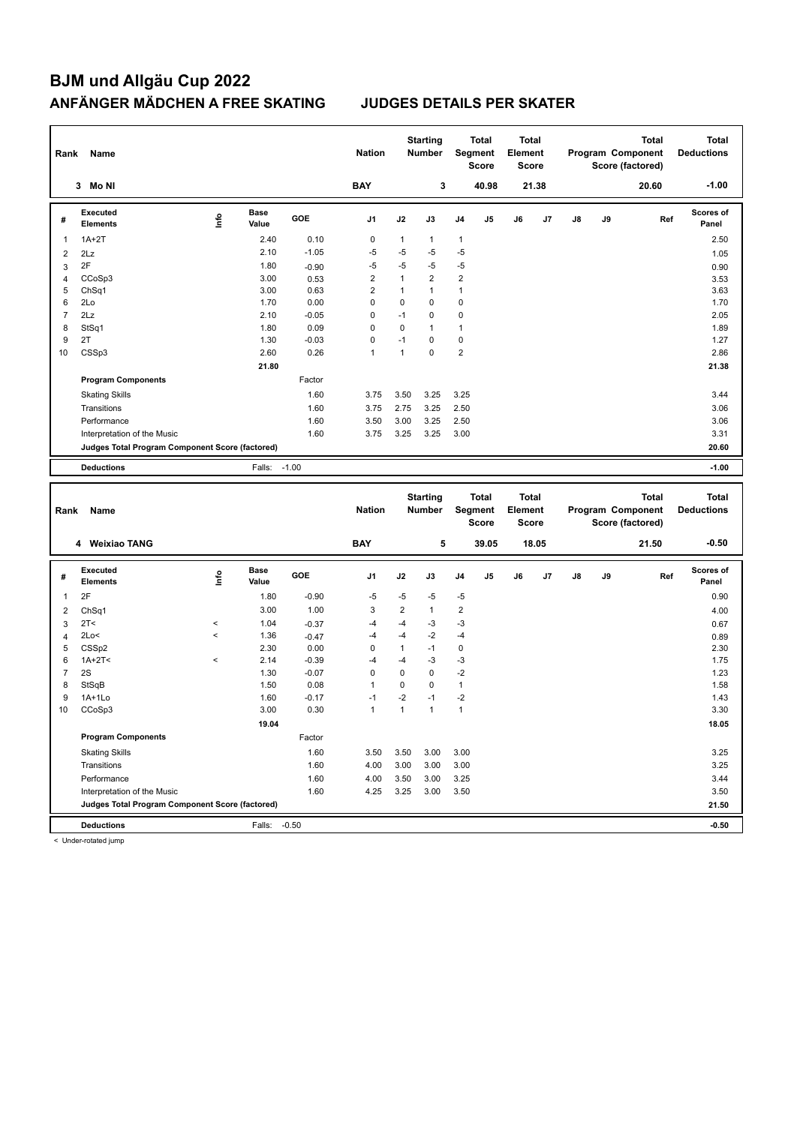**Program Components** 

< Under-rotated jump

 **19.04 19.05 18.05** 

| Rank           | Name                                            |       |                      |         | <b>Nation</b>        |                | <b>Starting</b><br><b>Number</b> |                         | <b>Total</b><br>Segment<br><b>Score</b> | <b>Total</b><br>Element<br><b>Score</b> |       |    |    | <b>Total</b><br>Program Component<br>Score (factored) | <b>Total</b><br><b>Deductions</b> |
|----------------|-------------------------------------------------|-------|----------------------|---------|----------------------|----------------|----------------------------------|-------------------------|-----------------------------------------|-----------------------------------------|-------|----|----|-------------------------------------------------------|-----------------------------------|
|                | 3 Mo NI                                         |       |                      |         | <b>BAY</b>           |                | 3                                |                         | 40.98                                   |                                         | 21.38 |    |    | 20.60                                                 | $-1.00$                           |
| #              | Executed<br><b>Elements</b>                     | lnfo  | <b>Base</b><br>Value | GOE     | J <sub>1</sub>       | J2             | J3                               | J <sub>4</sub>          | J <sub>5</sub>                          | J6                                      | J7    | J8 | J9 | Ref                                                   | Scores of<br>Panel                |
| $\mathbf{1}$   | $1A+2T$                                         |       | 2.40                 | 0.10    | 0                    | $\mathbf{1}$   | $\mathbf{1}$                     | 1                       |                                         |                                         |       |    |    |                                                       | 2.50                              |
| $\overline{2}$ | 2Lz                                             |       | 2.10                 | $-1.05$ | $-5$                 | $-5$           | $-5$                             | $-5$                    |                                         |                                         |       |    |    |                                                       | 1.05                              |
| 3              | 2F                                              |       | 1.80                 | $-0.90$ | $-5$                 | $-5$           | $-5$                             | $-5$                    |                                         |                                         |       |    |    |                                                       | 0.90                              |
| $\overline{4}$ | CCoSp3                                          |       | 3.00                 | 0.53    | $\overline{2}$       | $\mathbf{1}$   | $\overline{2}$                   | $\overline{2}$          |                                         |                                         |       |    |    |                                                       | 3.53                              |
| 5              | ChSq1                                           |       | 3.00                 | 0.63    | $\overline{2}$       | $\mathbf{1}$   | $\mathbf{1}$                     | $\mathbf{1}$            |                                         |                                         |       |    |    |                                                       | 3.63                              |
| 6              | 2Lo                                             |       | 1.70                 | 0.00    | $\mathbf 0$          | $\mathbf 0$    | $\mathbf 0$                      | $\mathbf 0$             |                                         |                                         |       |    |    |                                                       | 1.70                              |
| $\overline{7}$ | 2Lz                                             |       | 2.10                 | $-0.05$ | 0                    | $-1$           | $\mathbf 0$                      | 0                       |                                         |                                         |       |    |    |                                                       | 2.05                              |
| 8              | StSq1                                           |       | 1.80                 | 0.09    | $\mathbf 0$          | $\Omega$       | $\overline{1}$                   | $\mathbf{1}$            |                                         |                                         |       |    |    |                                                       | 1.89                              |
| 9              | 2T                                              |       | 1.30                 | $-0.03$ | $\mathbf 0$          | $-1$           | $\mathbf 0$                      | $\mathbf 0$             |                                         |                                         |       |    |    |                                                       | 1.27                              |
| 10             | CSSp3                                           |       | 2.60                 | 0.26    | $\mathbf{1}$         | $\mathbf{1}$   | $\Omega$                         | $\overline{2}$          |                                         |                                         |       |    |    |                                                       | 2.86                              |
|                |                                                 |       | 21.80                |         |                      |                |                                  |                         |                                         |                                         |       |    |    |                                                       | 21.38                             |
|                | <b>Program Components</b>                       |       |                      | Factor  |                      |                |                                  |                         |                                         |                                         |       |    |    |                                                       |                                   |
|                | <b>Skating Skills</b>                           |       |                      | 1.60    | 3.75                 | 3.50           | 3.25                             | 3.25                    |                                         |                                         |       |    |    |                                                       | 3.44                              |
|                | Transitions                                     |       |                      | 1.60    | 3.75                 | 2.75           | 3.25                             | 2.50                    |                                         |                                         |       |    |    |                                                       | 3.06                              |
|                | Performance                                     |       |                      | 1.60    | 3.50                 | 3.00           | 3.25                             | 2.50                    |                                         |                                         |       |    |    |                                                       | 3.06                              |
|                | Interpretation of the Music                     |       |                      | 1.60    | 3.75                 | 3.25           | 3.25                             | 3.00                    |                                         |                                         |       |    |    |                                                       | 3.31                              |
|                | Judges Total Program Component Score (factored) |       |                      |         |                      |                |                                  |                         |                                         |                                         |       |    |    |                                                       | 20.60                             |
|                |                                                 |       |                      |         |                      |                |                                  |                         |                                         |                                         |       |    |    |                                                       |                                   |
|                | <b>Deductions</b>                               |       | Falls: -1.00         |         |                      |                |                                  |                         |                                         |                                         |       |    |    |                                                       | $-1.00$                           |
| Rank           | Name                                            |       |                      |         | <b>Nation</b>        |                | <b>Starting</b><br>Number        |                         | <b>Total</b><br>Segment                 | <b>Total</b><br>Element                 |       |    |    | <b>Total</b><br>Program Component                     | <b>Total</b><br><b>Deductions</b> |
|                |                                                 |       |                      |         |                      |                |                                  |                         | <b>Score</b>                            | <b>Score</b>                            |       |    |    | Score (factored)                                      |                                   |
|                | 4 Weixiao TANG                                  |       |                      |         | <b>BAY</b>           |                | 5                                |                         | 39.05                                   |                                         | 18.05 |    |    | 21.50                                                 | $-0.50$                           |
| #              | Executed<br><b>Elements</b>                     | lnfo  | <b>Base</b><br>Value | GOE     | J1                   | J2             | J3                               | J4                      | J5                                      | J6                                      | J7    | J8 | J9 | Ref                                                   | Scores of<br>Panel                |
|                |                                                 |       |                      |         |                      |                |                                  |                         |                                         |                                         |       |    |    |                                                       |                                   |
| $\mathbf{1}$   | 2F                                              |       | 1.80                 | $-0.90$ | $-5$                 | $-5$           | $-5$                             | $-5$                    |                                         |                                         |       |    |    |                                                       | 0.90                              |
| $\overline{2}$ | ChSq1                                           |       | 3.00                 | 1.00    | 3                    | $\overline{2}$ | $\mathbf{1}$                     | $\overline{\mathbf{c}}$ |                                         |                                         |       |    |    |                                                       | 4.00                              |
| 3              | 2T<                                             | $\,<$ | 1.04                 | $-0.37$ | $-4$                 | $-4$           | $-3$                             | $-3$                    |                                         |                                         |       |    |    |                                                       | 0.67                              |
| $\overline{4}$ | 2Lo<                                            | $\,<$ | 1.36                 | $-0.47$ | $-4$                 | $-4$           | $-2$                             | $-4$                    |                                         |                                         |       |    |    |                                                       | 0.89                              |
| 5              | CSS <sub>p2</sub>                               |       | 2.30                 | 0.00    | $\mathbf 0$          | $\mathbf{1}$   | $-1$                             | $\mathbf 0$             |                                         |                                         |       |    |    |                                                       | 2.30                              |
| 6              | $1A+2T2$                                        | $\,<$ | 2.14                 | $-0.39$ | $-4$                 | $-4$           | $-3$                             | $-3$                    |                                         |                                         |       |    |    |                                                       | 1.75                              |
| $\overline{7}$ | 2S                                              |       | 1.30                 | $-0.07$ | $\mathbf 0$          | $\mathbf 0$    | $\mathbf 0$                      | $-2$                    |                                         |                                         |       |    |    |                                                       | 1.23                              |
| 8              | StSqB                                           |       | 1.50                 | 0.08    | 1                    | 0<br>$-2$      | $\mathbf 0$<br>$-1$              | $\mathbf{1}$<br>$-2$    |                                         |                                         |       |    |    |                                                       | 1.58                              |
| 9              | $1A+1Lo$                                        |       | 1.60                 | $-0.17$ | $-1$<br>$\mathbf{1}$ | $\mathbf{1}$   | $\mathbf{1}$                     | $\mathbf{1}$            |                                         |                                         |       |    |    |                                                       | 1.43                              |
| 10             | CCoSp3                                          |       | 3.00                 | 0.30    |                      |                |                                  |                         |                                         |                                         |       |    |    |                                                       | 3.30                              |

Skating Skills 3.50 3.50 3.00 3.00 1.60 3.25

Transitions 1.60 4.00 3.00 3.00 3.00 3.25 Performance 1.60 4.00 3.50 3.00 3.25 3.44 Interpretation of the Music 2.50 3.50 3.50 4.25 3.25 3.00 3.50 3.50 3.50 3.50

**Deductions** Falls: -0.50 **-0.50 Judges Total Program Component Score (factored) 21.50**

Factor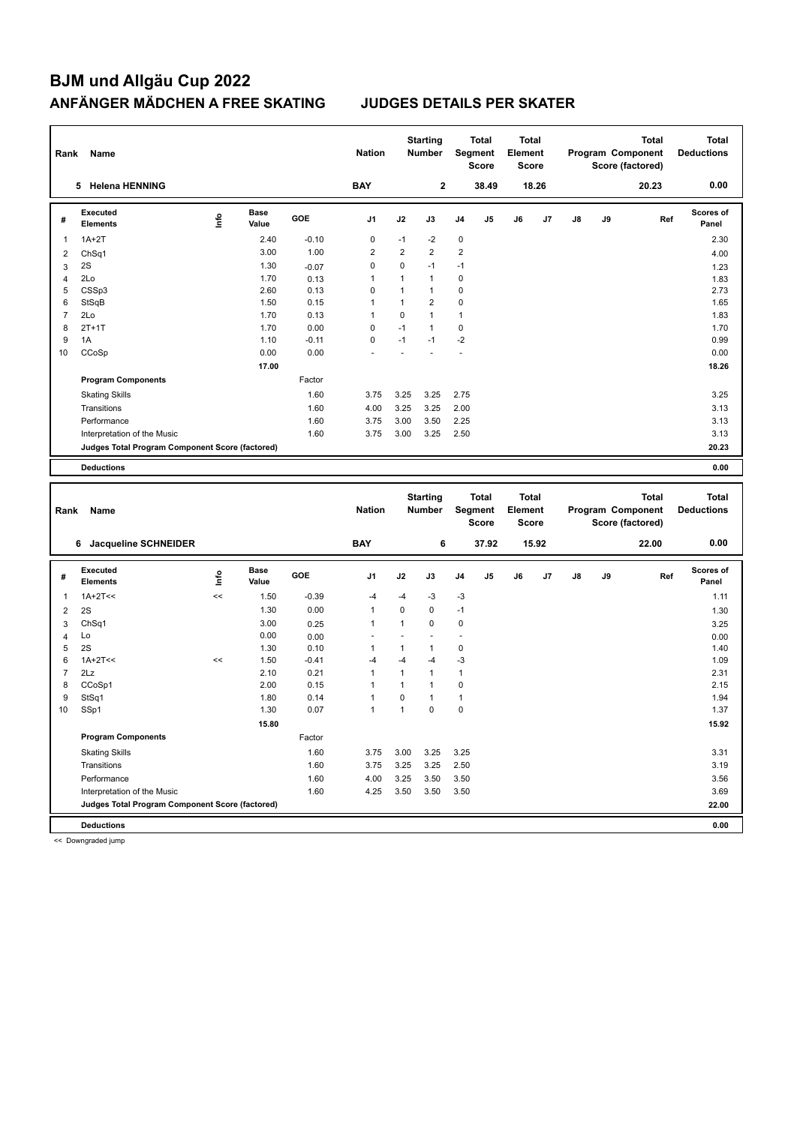**Deductions 0.00 Judges Total Program Component Score (factored) 22.00**

<< Downgraded jump